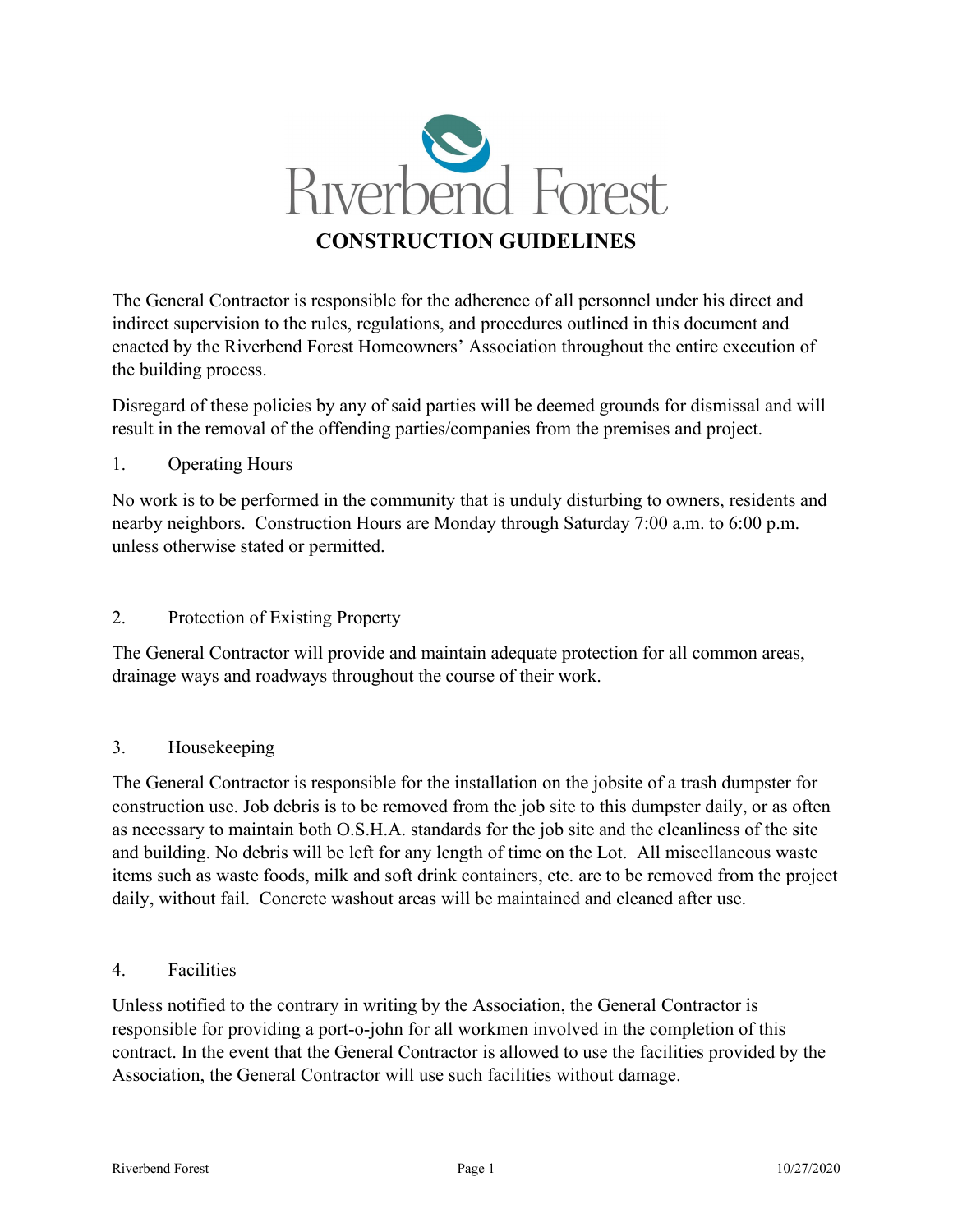

The General Contractor is responsible for the adherence of all personnel under his direct and indirect supervision to the rules, regulations, and procedures outlined in this document and enacted by the Riverbend Forest Homeowners' Association throughout the entire execution of the building process.

Disregard of these policies by any of said parties will be deemed grounds for dismissal and will result in the removal of the offending parties/companies from the premises and project.

#### 1. Operating Hours

No work is to be performed in the community that is unduly disturbing to owners, residents and nearby neighbors. Construction Hours are Monday through Saturday 7:00 a.m. to 6:00 p.m. unless otherwise stated or permitted.

#### 2. Protection of Existing Property

The General Contractor will provide and maintain adequate protection for all common areas, drainage ways and roadways throughout the course of their work.

## 3. Housekeeping

The General Contractor is responsible for the installation on the jobsite of a trash dumpster for construction use. Job debris is to be removed from the job site to this dumpster daily, or as often as necessary to maintain both O.S.H.A. standards for the job site and the cleanliness of the site and building. No debris will be left for any length of time on the Lot. All miscellaneous waste items such as waste foods, milk and soft drink containers, etc. are to be removed from the project daily, without fail. Concrete washout areas will be maintained and cleaned after use.

#### 4. Facilities

Unless notified to the contrary in writing by the Association, the General Contractor is responsible for providing a port-o-john for all workmen involved in the completion of this contract. In the event that the General Contractor is allowed to use the facilities provided by the Association, the General Contractor will use such facilities without damage.